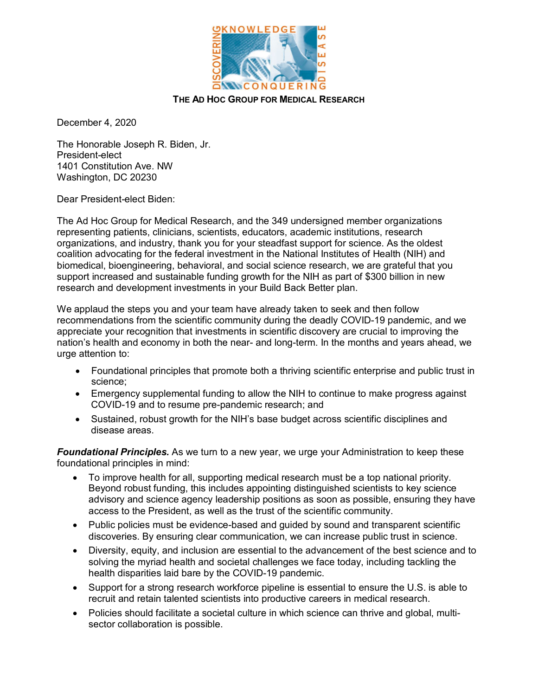

## **THE AD HOC GROUP FOR MEDICAL RESEARCH**

December 4, 2020

The Honorable Joseph R. Biden, Jr. President-elect 1401 Constitution Ave. NW Washington, DC 20230

Dear President-elect Biden:

The Ad Hoc Group for Medical Research, and the 349 undersigned member organizations representing patients, clinicians, scientists, educators, academic institutions, research organizations, and industry, thank you for your steadfast support for science. As the oldest coalition advocating for the federal investment in the National Institutes of Health (NIH) and biomedical, bioengineering, behavioral, and social science research, we are grateful that you support increased and sustainable funding growth for the NIH as part of \$300 billion in new research and development investments in your Build Back Better plan.

We applaud the steps you and your team have already taken to seek and then follow recommendations from the scientific community during the deadly COVID-19 pandemic, and we appreciate your recognition that investments in scientific discovery are crucial to improving the nation's health and economy in both the near- and long-term. In the months and years ahead, we urge attention to:

- Foundational principles that promote both a thriving scientific enterprise and public trust in science;
- Emergency supplemental funding to allow the NIH to continue to make progress against COVID-19 and to resume pre-pandemic research; and
- Sustained, robust growth for the NIH's base budget across scientific disciplines and disease areas.

*Foundational Principles.* As we turn to a new year, we urge your Administration to keep these foundational principles in mind:

- To improve health for all, supporting medical research must be a top national priority. Beyond robust funding, this includes appointing distinguished scientists to key science advisory and science agency leadership positions as soon as possible, ensuring they have access to the President, as well as the trust of the scientific community.
- Public policies must be evidence-based and guided by sound and transparent scientific discoveries. By ensuring clear communication, we can increase public trust in science.
- Diversity, equity, and inclusion are essential to the advancement of the best science and to solving the myriad health and societal challenges we face today, including tackling the health disparities laid bare by the COVID-19 pandemic.
- Support for a strong research workforce pipeline is essential to ensure the U.S. is able to recruit and retain talented scientists into productive careers in medical research.
- Policies should facilitate a societal culture in which science can thrive and global, multisector collaboration is possible.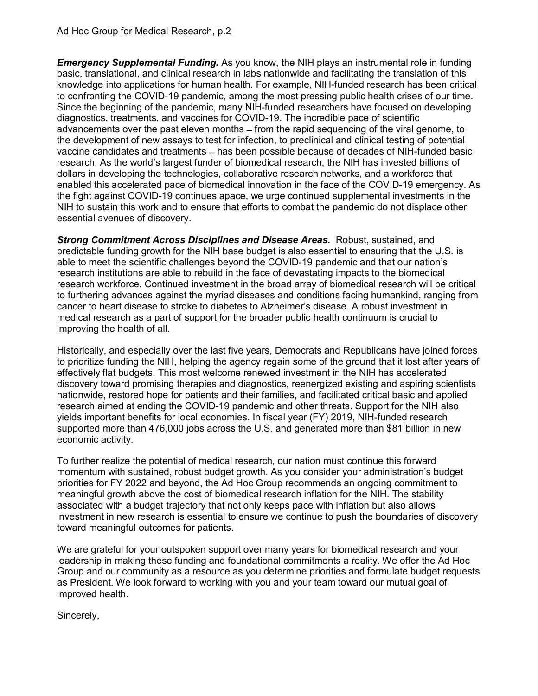*Emergency Supplemental Funding.* As you know, the NIH plays an instrumental role in funding basic, translational, and clinical research in labs nationwide and facilitating the translation of this knowledge into applications for human health. For example, NIH-funded research has been critical to confronting the COVID-19 pandemic, among the most pressing public health crises of our time. Since the beginning of the pandemic, many NIH-funded researchers have focused on developing diagnostics, treatments, and vaccines for COVID-19. The incredible pace of scientific advancements over the past eleven months – from the rapid sequencing of the viral genome, to the development of new assays to test for infection, to preclinical and clinical testing of potential vaccine candidates and treatments ̶ has been possible because of decades of NIH-funded basic research. As the world's largest funder of biomedical research, the NIH has invested billions of dollars in developing the technologies, collaborative research networks, and a workforce that enabled this accelerated pace of biomedical innovation in the face of the COVID-19 emergency. As the fight against COVID-19 continues apace, we urge continued supplemental investments in the NIH to sustain this work and to ensure that efforts to combat the pandemic do not displace other essential avenues of discovery.

**Strong Commitment Across Disciplines and Disease Areas.** Robust, sustained, and predictable funding growth for the NIH base budget is also essential to ensuring that the U.S. is able to meet the scientific challenges beyond the COVID-19 pandemic and that our nation's research institutions are able to rebuild in the face of devastating impacts to the biomedical research workforce. Continued investment in the broad array of biomedical research will be critical to furthering advances against the myriad diseases and conditions facing humankind, ranging from cancer to heart disease to stroke to diabetes to Alzheimer's disease. A robust investment in medical research as a part of support for the broader public health continuum is crucial to improving the health of all.

Historically, and especially over the last five years, Democrats and Republicans have joined forces to prioritize funding the NIH, helping the agency regain some of the ground that it lost after years of effectively flat budgets. This most welcome renewed investment in the NIH has accelerated discovery toward promising therapies and diagnostics, reenergized existing and aspiring scientists nationwide, restored hope for patients and their families, and facilitated critical basic and applied research aimed at ending the COVID-19 pandemic and other threats. Support for the NIH also yields important benefits for local economies. In fiscal year (FY) 2019, NIH-funded research supported more than 476,000 jobs across the U.S. and generated more than \$81 billion in new economic activity.

To further realize the potential of medical research, our nation must continue this forward momentum with sustained, robust budget growth. As you consider your administration's budget priorities for FY 2022 and beyond, the Ad Hoc Group recommends an ongoing commitment to meaningful growth above the cost of biomedical research inflation for the NIH. The stability associated with a budget trajectory that not only keeps pace with inflation but also allows investment in new research is essential to ensure we continue to push the boundaries of discovery toward meaningful outcomes for patients.

We are grateful for your outspoken support over many years for biomedical research and your leadership in making these funding and foundational commitments a reality. We offer the Ad Hoc Group and our community as a resource as you determine priorities and formulate budget requests as President. We look forward to working with you and your team toward our mutual goal of improved health.

Sincerely,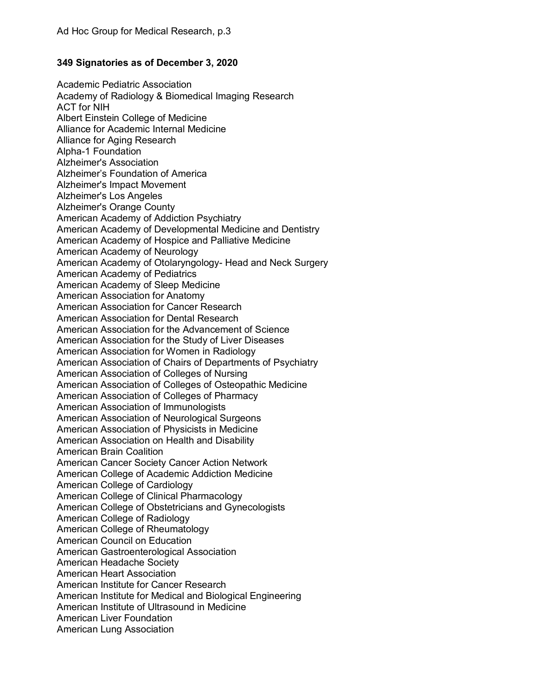## **349 Signatories as of December 3, 2020**

Academic Pediatric Association Academy of Radiology & Biomedical Imaging Research ACT for NIH Albert Einstein College of Medicine Alliance for Academic Internal Medicine Alliance for Aging Research Alpha-1 Foundation Alzheimer's Association Alzheimer's Foundation of America Alzheimer's Impact Movement Alzheimer's Los Angeles Alzheimer's Orange County American Academy of Addiction Psychiatry American Academy of Developmental Medicine and Dentistry American Academy of Hospice and Palliative Medicine American Academy of Neurology American Academy of Otolaryngology- Head and Neck Surgery American Academy of Pediatrics American Academy of Sleep Medicine American Association for Anatomy American Association for Cancer Research American Association for Dental Research American Association for the Advancement of Science American Association for the Study of Liver Diseases American Association for Women in Radiology American Association of Chairs of Departments of Psychiatry American Association of Colleges of Nursing American Association of Colleges of Osteopathic Medicine American Association of Colleges of Pharmacy American Association of Immunologists American Association of Neurological Surgeons American Association of Physicists in Medicine American Association on Health and Disability American Brain Coalition American Cancer Society Cancer Action Network American College of Academic Addiction Medicine American College of Cardiology American College of Clinical Pharmacology American College of Obstetricians and Gynecologists American College of Radiology American College of Rheumatology American Council on Education American Gastroenterological Association American Headache Society American Heart Association American Institute for Cancer Research American Institute for Medical and Biological Engineering American Institute of Ultrasound in Medicine American Liver Foundation American Lung Association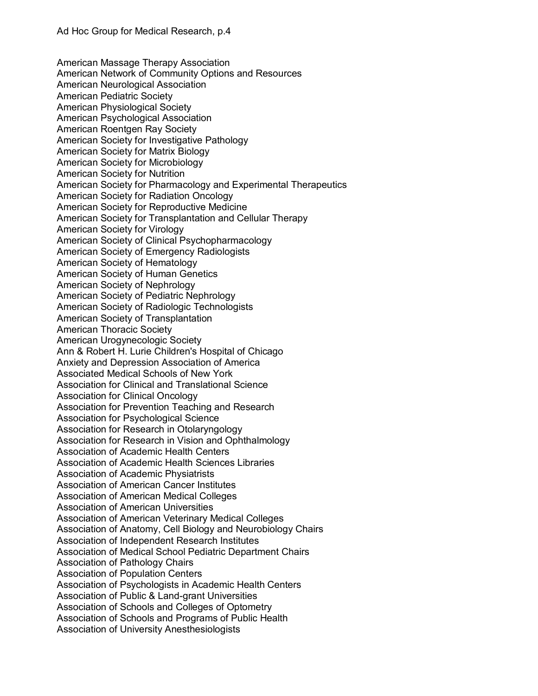American Massage Therapy Association American Network of Community Options and Resources American Neurological Association American Pediatric Society American Physiological Society American Psychological Association American Roentgen Ray Society American Society for Investigative Pathology American Society for Matrix Biology American Society for Microbiology American Society for Nutrition American Society for Pharmacology and Experimental Therapeutics American Society for Radiation Oncology American Society for Reproductive Medicine American Society for Transplantation and Cellular Therapy American Society for Virology American Society of Clinical Psychopharmacology American Society of Emergency Radiologists American Society of Hematology American Society of Human Genetics American Society of Nephrology American Society of Pediatric Nephrology American Society of Radiologic Technologists American Society of Transplantation American Thoracic Society American Urogynecologic Society Ann & Robert H. Lurie Children's Hospital of Chicago Anxiety and Depression Association of America Associated Medical Schools of New York Association for Clinical and Translational Science Association for Clinical Oncology Association for Prevention Teaching and Research Association for Psychological Science Association for Research in Otolaryngology Association for Research in Vision and Ophthalmology Association of Academic Health Centers Association of Academic Health Sciences Libraries Association of Academic Physiatrists Association of American Cancer Institutes Association of American Medical Colleges Association of American Universities Association of American Veterinary Medical Colleges Association of Anatomy, Cell Biology and Neurobiology Chairs Association of Independent Research Institutes Association of Medical School Pediatric Department Chairs Association of Pathology Chairs Association of Population Centers Association of Psychologists in Academic Health Centers Association of Public & Land-grant Universities Association of Schools and Colleges of Optometry Association of Schools and Programs of Public Health Association of University Anesthesiologists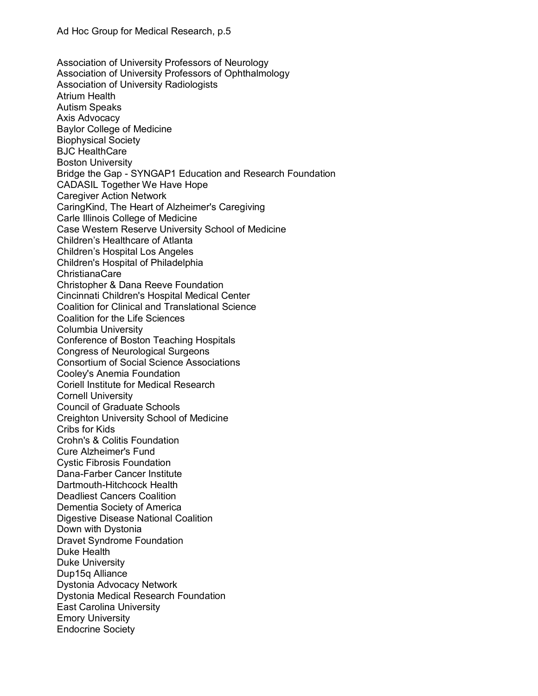Association of University Professors of Neurology Association of University Professors of Ophthalmology Association of University Radiologists Atrium Health Autism Speaks Axis Advocacy Baylor College of Medicine Biophysical Society BJC HealthCare Boston University Bridge the Gap - SYNGAP1 Education and Research Foundation CADASIL Together We Have Hope Caregiver Action Network CaringKind, The Heart of Alzheimer's Caregiving Carle Illinois College of Medicine Case Western Reserve University School of Medicine Children's Healthcare of Atlanta Children's Hospital Los Angeles Children's Hospital of Philadelphia ChristianaCare Christopher & Dana Reeve Foundation Cincinnati Children's Hospital Medical Center Coalition for Clinical and Translational Science Coalition for the Life Sciences Columbia University Conference of Boston Teaching Hospitals Congress of Neurological Surgeons Consortium of Social Science Associations Cooley's Anemia Foundation Coriell Institute for Medical Research Cornell University Council of Graduate Schools Creighton University School of Medicine Cribs for Kids Crohn's & Colitis Foundation Cure Alzheimer's Fund Cystic Fibrosis Foundation Dana-Farber Cancer Institute Dartmouth-Hitchcock Health Deadliest Cancers Coalition Dementia Society of America Digestive Disease National Coalition Down with Dystonia Dravet Syndrome Foundation Duke Health Duke University Dup15q Alliance Dystonia Advocacy Network Dystonia Medical Research Foundation East Carolina University Emory University Endocrine Society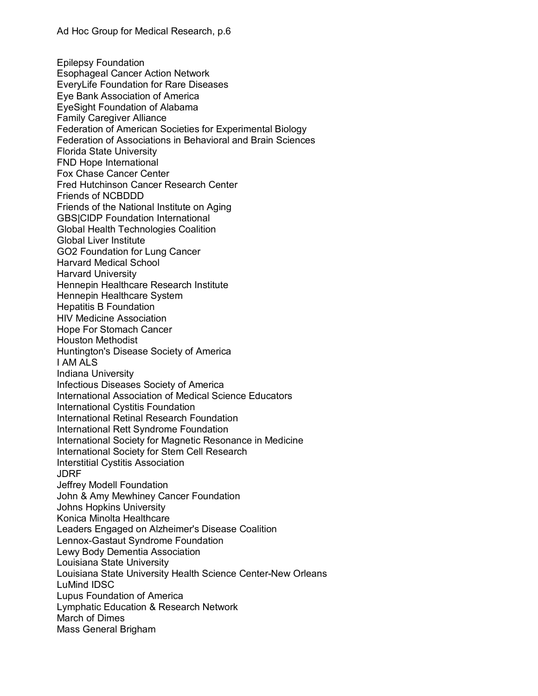Epilepsy Foundation Esophageal Cancer Action Network EveryLife Foundation for Rare Diseases Eye Bank Association of America EyeSight Foundation of Alabama Family Caregiver Alliance Federation of American Societies for Experimental Biology Federation of Associations in Behavioral and Brain Sciences Florida State University FND Hope International Fox Chase Cancer Center Fred Hutchinson Cancer Research Center Friends of NCBDDD Friends of the National Institute on Aging GBS|CIDP Foundation International Global Health Technologies Coalition Global Liver Institute GO2 Foundation for Lung Cancer Harvard Medical School Harvard University Hennepin Healthcare Research Institute Hennepin Healthcare System Hepatitis B Foundation HIV Medicine Association Hope For Stomach Cancer Houston Methodist Huntington's Disease Society of America I AM ALS Indiana University Infectious Diseases Society of America International Association of Medical Science Educators International Cystitis Foundation International Retinal Research Foundation International Rett Syndrome Foundation International Society for Magnetic Resonance in Medicine International Society for Stem Cell Research Interstitial Cystitis Association JDRF Jeffrey Modell Foundation John & Amy Mewhiney Cancer Foundation Johns Hopkins University Konica Minolta Healthcare Leaders Engaged on Alzheimer's Disease Coalition Lennox-Gastaut Syndrome Foundation Lewy Body Dementia Association Louisiana State University Louisiana State University Health Science Center-New Orleans LuMind IDSC Lupus Foundation of America Lymphatic Education & Research Network March of Dimes Mass General Brigham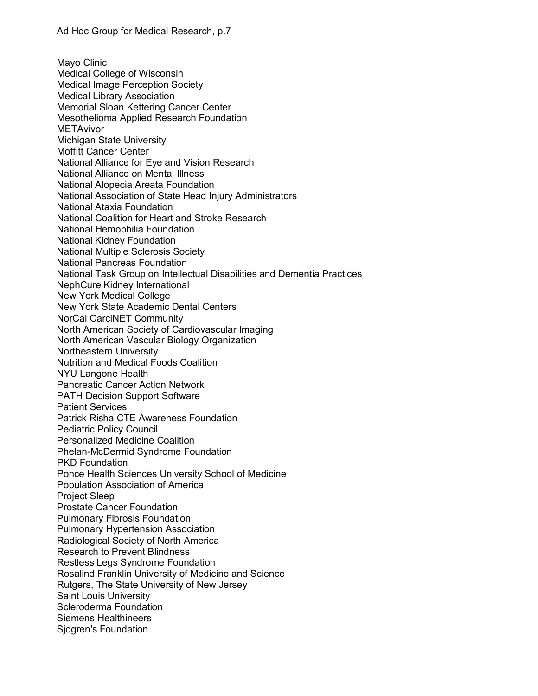Mayo Clinic Medical College of Wisconsin Medical Image Perception Society Medical Library Association Memorial Sloan Kettering Cancer Center Mesothelioma Applied Research Foundation **METAvivor** Michigan State University Moffitt Cancer Center National Alliance for Eye and Vision Research National Alliance on Mental Illness National Alopecia Areata Foundation National Association of State Head Injury Administrators National Ataxia Foundation National Coalition for Heart and Stroke Research National Hemophilia Foundation National Kidney Foundation National Multiple Sclerosis Society National Pancreas Foundation National Task Group on Intellectual Disabilities and Dementia Practices NephCure Kidney International New York Medical College New York State Academic Dental Centers NorCal CarciNET Community North American Society of Cardiovascular Imaging North American Vascular Biology Organization Northeastern University Nutrition and Medical Foods Coalition NYU Langone Health Pancreatic Cancer Action Network PATH Decision Support Software Patient Services Patrick Risha CTE Awareness Foundation Pediatric Policy Council Personalized Medicine Coalition Phelan-McDermid Syndrome Foundation PKD Foundation Ponce Health Sciences University School of Medicine Population Association of America Project Sleep Prostate Cancer Foundation Pulmonary Fibrosis Foundation Pulmonary Hypertension Association Radiological Society of North America Research to Prevent Blindness Restless Legs Syndrome Foundation Rosalind Franklin University of Medicine and Science Rutgers, The State University of New Jersey Saint Louis University Scleroderma Foundation Siemens Healthineers Sjogren's Foundation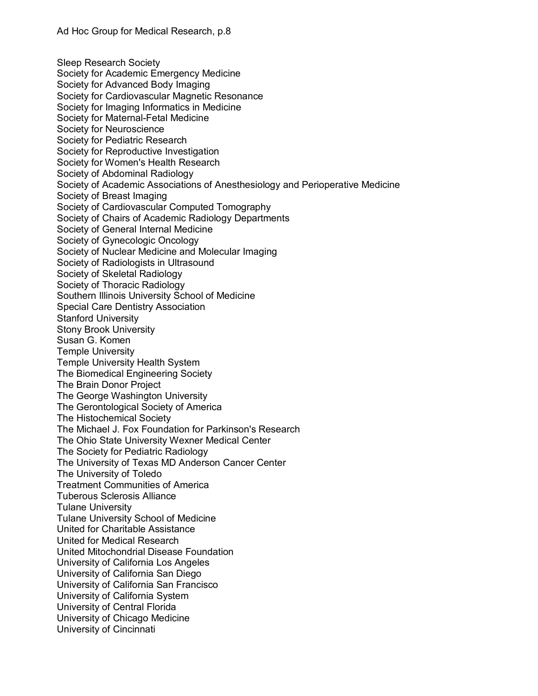Sleep Research Society Society for Academic Emergency Medicine Society for Advanced Body Imaging Society for Cardiovascular Magnetic Resonance Society for Imaging Informatics in Medicine Society for Maternal-Fetal Medicine Society for Neuroscience Society for Pediatric Research Society for Reproductive Investigation Society for Women's Health Research Society of Abdominal Radiology Society of Academic Associations of Anesthesiology and Perioperative Medicine Society of Breast Imaging Society of Cardiovascular Computed Tomography Society of Chairs of Academic Radiology Departments Society of General Internal Medicine Society of Gynecologic Oncology Society of Nuclear Medicine and Molecular Imaging Society of Radiologists in Ultrasound Society of Skeletal Radiology Society of Thoracic Radiology Southern Illinois University School of Medicine Special Care Dentistry Association Stanford University Stony Brook University Susan G. Komen Temple University Temple University Health System The Biomedical Engineering Society The Brain Donor Project The George Washington University The Gerontological Society of America The Histochemical Society The Michael J. Fox Foundation for Parkinson's Research The Ohio State University Wexner Medical Center The Society for Pediatric Radiology The University of Texas MD Anderson Cancer Center The University of Toledo Treatment Communities of America Tuberous Sclerosis Alliance Tulane University Tulane University School of Medicine United for Charitable Assistance United for Medical Research United Mitochondrial Disease Foundation University of California Los Angeles University of California San Diego University of California San Francisco University of California System University of Central Florida University of Chicago Medicine University of Cincinnati